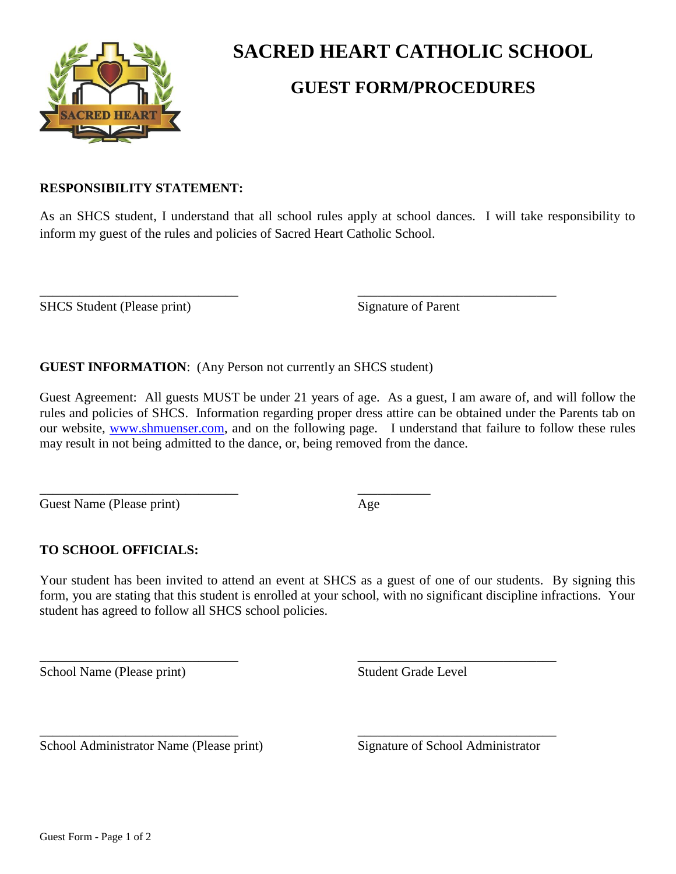

# **SACRED HEART CATHOLIC SCHOOL**

# **GUEST FORM/PROCEDURES**

### **RESPONSIBILITY STATEMENT:**

As an SHCS student, I understand that all school rules apply at school dances. I will take responsibility to inform my guest of the rules and policies of Sacred Heart Catholic School.

 $\overline{\phantom{a}}$  , and the contract of the contract of the contract of the contract of the contract of the contract of the contract of the contract of the contract of the contract of the contract of the contract of the contrac

SHCS Student (Please print) Signature of Parent

**GUEST INFORMATION**: (Any Person not currently an SHCS student)

Guest Agreement: All guests MUST be under 21 years of age. As a guest, I am aware of, and will follow the rules and policies of SHCS. Information regarding proper dress attire can be obtained under the Parents tab on our website, [www.shmuenser.com,](http://www.shmuenser.com/) and on the following page. I understand that failure to follow these rules may result in not being admitted to the dance, or, being removed from the dance.

Guest Name (Please print) Age

\_\_\_\_\_\_\_\_\_\_\_\_\_\_\_\_\_\_\_\_\_\_\_\_\_\_\_\_\_\_ \_\_\_\_\_\_\_\_\_\_\_

## **TO SCHOOL OFFICIALS:**

Your student has been invited to attend an event at SHCS as a guest of one of our students. By signing this form, you are stating that this student is enrolled at your school, with no significant discipline infractions. Your student has agreed to follow all SHCS school policies.

 $\overline{\phantom{a}}$  , and the contract of the contract of the contract of the contract of the contract of the contract of the contract of the contract of the contract of the contract of the contract of the contract of the contrac

\_\_\_\_\_\_\_\_\_\_\_\_\_\_\_\_\_\_\_\_\_\_\_\_\_\_\_\_\_\_ \_\_\_\_\_\_\_\_\_\_\_\_\_\_\_\_\_\_\_\_\_\_\_\_\_\_\_\_\_\_

School Name (Please print) Student Grade Level

School Administrator Name (Please print) Signature of School Administrator